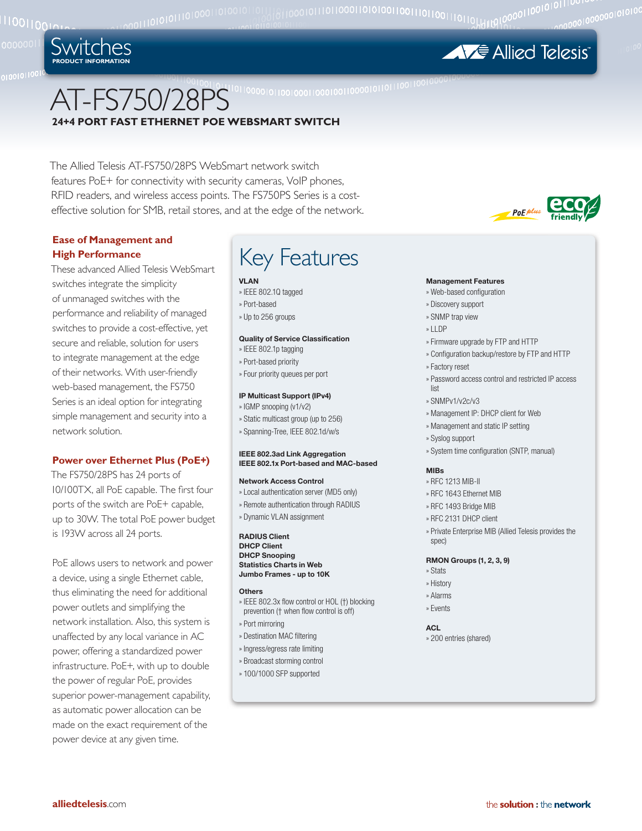

 $P_0E$ <sup>plus</sup> friendly

# AT-FS750/28PS **24+4 PORT FAST ETHERNET POE WEBSMART SWITCH**

The Allied Telesis AT-FS750/28PS WebSmart network switch features PoE+ for connectivity with security cameras, VoIP phones, RFID readers, and wireless access points. The FS750PS Series is a costeffective solution for SMB, retail stores, and at the edge of the network.

# **Ease of Management and High Performance**

Switches **product information**

These advanced Allied Telesis WebSmart switches integrate the simplicity of unmanaged switches with the performance and reliability of managed switches to provide a cost-effective, yet secure and reliable, solution for users to integrate management at the edge of their networks. With user-friendly web-based management, the FS750 Series is an ideal option for integrating simple management and security into a network solution.

### **Power over Ethernet Plus (PoE+)**

The FS750/28PS has 24 ports of 10/100TX, all PoE capable. The first four ports of the switch are PoE+ capable, up to 30W. The total PoE power budget is 193W across all 24 ports.

PoE allows users to network and power a device, using a single Ethernet cable, thus eliminating the need for additional power outlets and simplifying the network installation. Also, this system is unaffected by any local variance in AC power, offering a standardized power infrastructure. PoE+, with up to double the power of regular PoE, provides superior power-management capability, as automatic power allocation can be made on the exact requirement of the power device at any given time.

# Key Features

#### **VLAN**

- » IEEE 802.1Q tagged » Port-based
- » Up to 256 groups

#### **Quality of Service Classification**

- » IEEE 802.1p tagging
- » Port-based priority
- » Four priority queues per port

#### **IP Multicast Support (IPv4)**

- » IGMP snooping (v1/v2)
- » Static multicast group (up to 256) » Spanning-Tree, IEEE 802.1d/w/s
- 

#### **IEEE 802.3ad Link Aggregation IEEE 802.1x Port-based and MAC-based**

#### **Network Access Control**

- » Local authentication server (MD5 only)
- » Remote authentication through RADIUS
- » Dynamic VLAN assignment

**RADIUS Client DHCP Client DHCP Snooping Statistics Charts in Web Jumbo Frames - up to 10K**

#### **Others**

- » IEEE 802.3x flow control or HOL (†) blocking prevention († when flow control is off)
- » Port mirroring
- » Destination MAC filtering
- » Ingress/egress rate limiting
- » Broadcast storming control
- » 100/1000 SFP supported

## **Management Features**

- » Web-based configuration
- » Discovery support
- » SNMP trap view
- » LLDP
- » Firmware upgrade by FTP and HTTP
- » Configuration backup/restore by FTP and HTTP
- » Factory reset
- » Password access control and restricted IP access list
- » SNMPv1/v2c/v3
- » Management IP: DHCP client for Web
- » Management and static IP setting
- » Syslog support
- » System time configuration (SNTP, manual)

#### **MIBs**

- » RFC 1213 MIB-II
- » RFC 1643 Ethernet MIB
- » RFC 1493 Bridge MIB
- » RFC 2131 DHCP client
- » Private Enterprise MIB (Allied Telesis provides the spec)

#### **RMON Groups (1, 2, 3, 9)**

- » Stats
- » History
- » Alarms
- » Events

#### **ACL**

» 200 entries (shared)